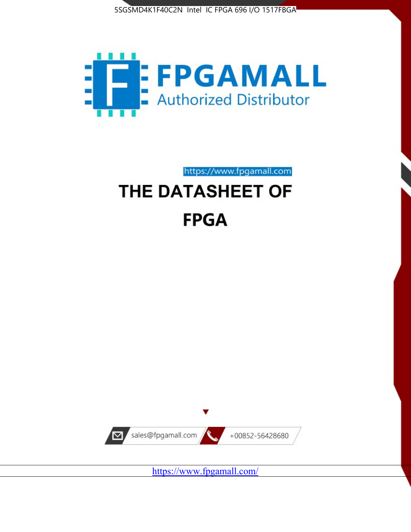



# https://www.fpgamall.com THE DATASHEET OF **FPGA**



<https://www.fpgamall.com/>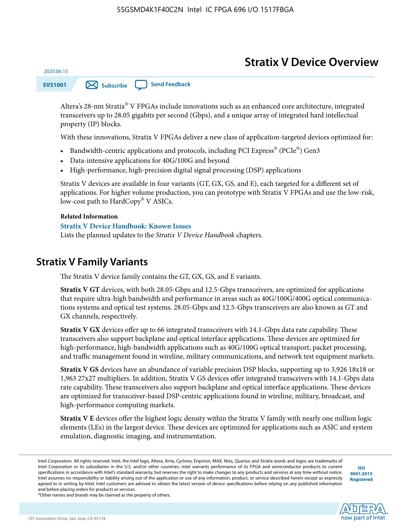# **Stratix V Device Overview**

**SV51001 [Subscribe](https://www.altera.com/servlets/subscriptions/alert?id=SV51001) [Send Feedback](mailto:FPGAtechdocfeedback@intel.com?subject=Feedback%20on%20(SV51001%202020.06.15)%20Stratix%20V%20Device%20Overview&body=We%20appreciate%20your%20feedback.%20In%20your%20comments,%20also%20specify%20the%20page%20number%20or%20paragraph.%20Thank%20you.)** 

Altera's 28-nm Stratix® V FPGAs include innovations such as an enhanced core architecture, integrated transceivers up to 28.05 gigabits per second (Gbps), and a unique array of integrated hard intellectual property (IP) blocks.

With these innovations, Stratix V FPGAs deliver a new class of application-targeted devices optimized for:

- Bandwidth-centric applications and protocols, including PCI Express® (PCIe®) Gen3
- Data-intensive applications for 40G/100G and beyond
- High-performance, high-precision digital signal processing (DSP) applications

Stratix V devices are available in four variants (GT, GX, GS, and E), each targeted for a different set of applications. For higher volume production, you can prototype with Stratix V FPGAs and use the low-risk, low-cost path to HardCopy® V ASICs.

#### **Related Information**

2020.06.15

#### **[Stratix V Device Handbook: Known Issues](http://www.altera.com/support/kdb/solutions/rd08242010_83.html)**

Lists the planned updates to the *Stratix V Device Handbook* chapters.

### **Stratix V Family Variants**

The Stratix V device family contains the GT, GX, GS, and E variants.

**Stratix V GT** devices, with both 28.05-Gbps and 12.5-Gbps transceivers, are optimized for applications that require ultra-high bandwidth and performance in areas such as 40G/100G/400G optical communica‐ tions systems and optical test systems. 28.05-Gbps and 12.5-Gbps transceivers are also known as GT and GX channels, respectively.

**Stratix V GX** devices offer up to 66 integrated transceivers with 14.1-Gbps data rate capability. These transceivers also support backplane and optical interface applications. These devices are optimized for high-performance, high-bandwidth applications such as 40G/100G optical transport, packet processing, and traffic management found in wireline, military communications, and network test equipment markets.

**Stratix V GS** devices have an abundance of variable precision DSP blocks, supporting up to 3,926 18x18 or 1,963 27x27 multipliers. In addition, Stratix V GS devices offer integrated transceivers with 14.1-Gbps data rate capability. These transceivers also support backplane and optical interface applications. These devices are optimized for transceiver-based DSP-centric applications found in wireline, military, broadcast, and high-performance computing markets.

**Stratix V E** devices offer the highest logic density within the Stratix V family with nearly one million logic elements (LEs) in the largest device. These devices are optimized for applications such as ASIC and system emulation, diagnostic imaging, and instrumentation.

**[ISO](http://www.altera.com/support/devices/reliability/certifications/rel-certifications.html) [9001:2015](http://www.altera.com/support/devices/reliability/certifications/rel-certifications.html) [Registered](http://www.altera.com/support/devices/reliability/certifications/rel-certifications.html)**

**low part of Intel** 

\*Other names and brands may be claimed as the property of others.

Intel Corporation. All rights reserved. Intel, the Intel logo, Altera, Arria, Cyclone, Enpirion, MAX, Nios, Quartus and Stratix words and logos are trademarks of Intel Corporation or its subsidiaries in the U.S. and/or other countries. Intel warrants performance of its FPGA and semiconductor products to current specifications in accordance with Intel's standard warranty, but reserves the right to make changes to any products and services at any time without notice. Intel assumes no responsibility or liability arising out of the application or use of any information, product, or service described herein except as expressly agreed to in writing by Intel. Intel customers are advised to obtain the latest version of device specifications before relying on any published information and before placing orders for products or services.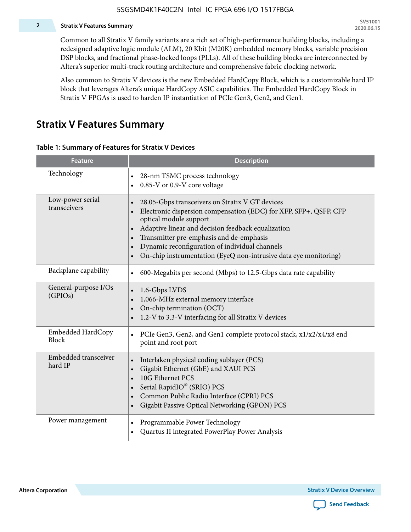#### **2 Stratix V Features Summary**

Common to all Stratix V family variants are a rich set of high-performance building blocks, including a redesigned adaptive logic module (ALM), 20 Kbit (M20K) embedded memory blocks, variable precision DSP blocks, and fractional phase-locked loops (PLLs). All of these building blocks are interconnected by Altera's superior multi-track routing architecture and comprehensive fabric clocking network.

Also common to Stratix V devices is the new Embedded HardCopy Block, which is a customizable hard IP block that leverages Altera's unique HardCopy ASIC capabilities. The Embedded HardCopy Block in Stratix V FPGAs is used to harden IP instantiation of PCIe Gen3, Gen2, and Gen1.

### **Stratix V Features Summary**

#### **Table 1: Summary of Features for Stratix V Devices**

| <b>Feature</b>                    | <b>Description</b>                                                                                                                                                                                                                                                                                                                                                                                                         |
|-----------------------------------|----------------------------------------------------------------------------------------------------------------------------------------------------------------------------------------------------------------------------------------------------------------------------------------------------------------------------------------------------------------------------------------------------------------------------|
| Technology                        | 28-nm TSMC process technology<br>$\bullet$<br>0.85-V or 0.9-V core voltage                                                                                                                                                                                                                                                                                                                                                 |
| Low-power serial<br>transceivers  | 28.05-Gbps transceivers on Stratix V GT devices<br>$\bullet$<br>Electronic dispersion compensation (EDC) for XFP, SFP+, QSFP, CFP<br>optical module support<br>Adaptive linear and decision feedback equalization<br>$\bullet$<br>Transmitter pre-emphasis and de-emphasis<br>Dynamic reconfiguration of individual channels<br>$\bullet$<br>On-chip instrumentation (EyeQ non-intrusive data eye monitoring)<br>$\bullet$ |
| Backplane capability              | 600-Megabits per second (Mbps) to 12.5-Gbps data rate capability<br>$\bullet$                                                                                                                                                                                                                                                                                                                                              |
| General-purpose I/Os<br>(GPIOs)   | 1.6-Gbps LVDS<br>1,066-MHz external memory interface<br>$\bullet$<br>On-chip termination (OCT)<br>$\bullet$<br>1.2-V to 3.3-V interfacing for all Stratix V devices                                                                                                                                                                                                                                                        |
| Embedded HardCopy<br><b>Block</b> | PCIe Gen3, Gen2, and Gen1 complete protocol stack, x1/x2/x4/x8 end<br>$\bullet$<br>point and root port                                                                                                                                                                                                                                                                                                                     |
| Embedded transceiver<br>hard IP   | Interlaken physical coding sublayer (PCS)<br>$\bullet$<br>Gigabit Ethernet (GbE) and XAUI PCS<br>$\bullet$<br>10G Ethernet PCS<br>Serial RapidIO® (SRIO) PCS<br>$\bullet$<br>Common Public Radio Interface (CPRI) PCS<br>$\bullet$<br>Gigabit Passive Optical Networking (GPON) PCS<br>$\bullet$                                                                                                                           |
| Power management                  | Programmable Power Technology<br>Quartus II integrated PowerPlay Power Analysis<br>$\bullet$                                                                                                                                                                                                                                                                                                                               |

**Altera Corporation** 

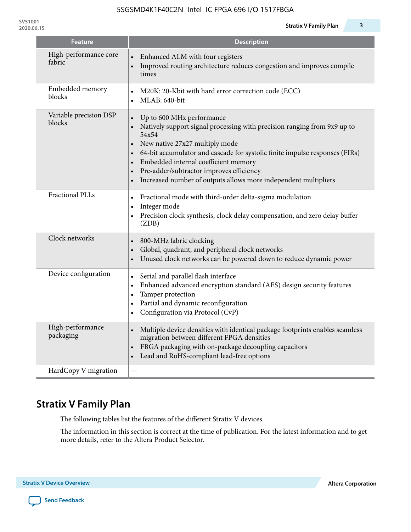| <b>Feature</b>                   | <b>Description</b>                                                                                                                                                                                                                                                                                                                                                                                                            |
|----------------------------------|-------------------------------------------------------------------------------------------------------------------------------------------------------------------------------------------------------------------------------------------------------------------------------------------------------------------------------------------------------------------------------------------------------------------------------|
| High-performance core<br>fabric  | Enhanced ALM with four registers<br>Improved routing architecture reduces congestion and improves compile<br>times                                                                                                                                                                                                                                                                                                            |
| Embedded memory<br>blocks        | M20K: 20-Kbit with hard error correction code (ECC)<br>$\bullet$<br>MLAB: 640-bit                                                                                                                                                                                                                                                                                                                                             |
| Variable precision DSP<br>blocks | Up to 600 MHz performance<br>Natively support signal processing with precision ranging from 9x9 up to<br>54x54<br>New native 27x27 multiply mode<br>64-bit accumulator and cascade for systolic finite impulse responses (FIRs)<br>Embedded internal coefficient memory<br>$\bullet$<br>Pre-adder/subtractor improves efficiency<br>$\bullet$<br>Increased number of outputs allows more independent multipliers<br>$\bullet$ |
| <b>Fractional PLLs</b>           | Fractional mode with third-order delta-sigma modulation<br>$\bullet$<br>Integer mode<br>$\bullet$<br>Precision clock synthesis, clock delay compensation, and zero delay buffer<br>(ZDB)                                                                                                                                                                                                                                      |
| Clock networks                   | 800-MHz fabric clocking<br>Global, quadrant, and peripheral clock networks<br>Unused clock networks can be powered down to reduce dynamic power                                                                                                                                                                                                                                                                               |
| Device configuration             | Serial and parallel flash interface<br>$\bullet$<br>Enhanced advanced encryption standard (AES) design security features<br>$\bullet$<br>Tamper protection<br>$\bullet$<br>Partial and dynamic reconfiguration<br>$\bullet$<br>Configuration via Protocol (CvP)<br>$\bullet$                                                                                                                                                  |
| High-performance<br>packaging    | Multiple device densities with identical package footprints enables seamless<br>$\bullet$<br>migration between different FPGA densities<br>FBGA packaging with on-package decoupling capacitors<br>Lead and RoHS-compliant lead-free options                                                                                                                                                                                  |
| HardCopy V migration             |                                                                                                                                                                                                                                                                                                                                                                                                                               |

# **Stratix V Family Plan**

The following tables list the features of the different Stratix V devices.

The information in this section is correct at the time of publication. For the latest information and to get more details, refer to the Altera Product Selector.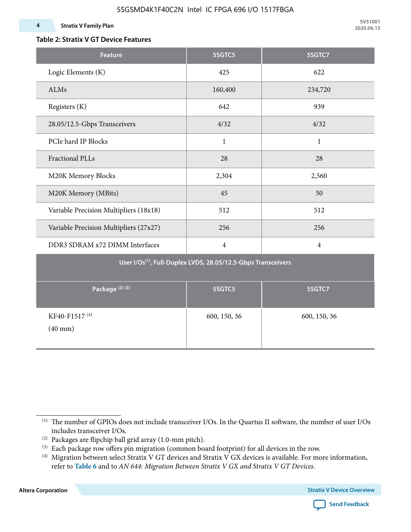#### **4 Stratix V Family Plan**

### **Table 2: Stratix V GT Device Features**

| <b>Feature</b>                                                            | 5SGTC5         | 5SGTC7         |  |  |  |  |  |  |  |
|---------------------------------------------------------------------------|----------------|----------------|--|--|--|--|--|--|--|
| Logic Elements (K)                                                        | 425            | 622            |  |  |  |  |  |  |  |
| ALMs                                                                      | 160,400        | 234,720        |  |  |  |  |  |  |  |
| Registers (K)                                                             | 642            | 939            |  |  |  |  |  |  |  |
| 28.05/12.5-Gbps Transceivers                                              | 4/32           | 4/32           |  |  |  |  |  |  |  |
| PCIe hard IP Blocks                                                       | $\mathbf{1}$   | $\mathbf{1}$   |  |  |  |  |  |  |  |
| <b>Fractional PLLs</b>                                                    | 28             | 28             |  |  |  |  |  |  |  |
| M20K Memory Blocks                                                        | 2,304          | 2,560          |  |  |  |  |  |  |  |
| M20K Memory (MBits)                                                       | 45             | 50             |  |  |  |  |  |  |  |
| Variable Precision Multipliers (18x18)                                    | 512            | 512            |  |  |  |  |  |  |  |
| Variable Precision Multipliers (27x27)                                    | 256            | 256            |  |  |  |  |  |  |  |
| DDR3 SDRAM x72 DIMM Interfaces                                            | $\overline{4}$ | $\overline{4}$ |  |  |  |  |  |  |  |
| User I/Os <sup>(1)</sup> , Full-Duplex LVDS, 28.05/12.5-Gbps Transceivers |                |                |  |  |  |  |  |  |  |
| Package <sup>(2)</sup> <sup>(3)</sup>                                     | 5SGTC5         | 5SGTC7         |  |  |  |  |  |  |  |
| KF40-F1517 <sup>(4)</sup><br>$(40 \text{ mm})$                            | 600, 150, 36   | 600, 150, 36   |  |  |  |  |  |  |  |

**Altera Corporation** 



<sup>(1)</sup> The number of GPIOs does not include transceiver I/Os. In the Quartus II software, the number of user I/Os includes transceiver I/Os.

 $^{(2)}$  Packages are flipchip ball grid array (1.0-mm pitch).

<sup>(3)</sup> Each package row offers pin migration (common board footprint) for all devices in the row.

<sup>(4)</sup> Migration between select Stratix V GT devices and Stratix V GX devices is available. For more information, refer to **Table 6** and to *AN 644: Migration Between Stratix V GX and Stratix V GT Devices*.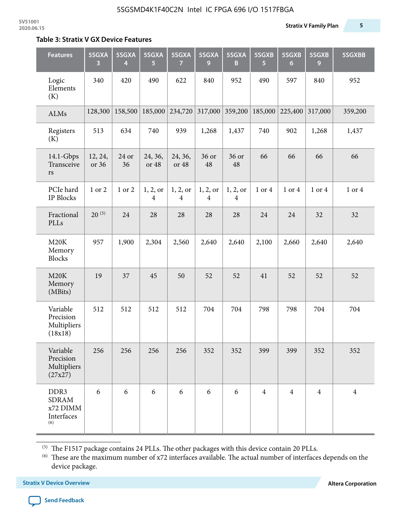#### **Table 3: Stratix V GX Device Features**

| <b>Features</b>                                       | 5SGXA<br>3       | 5SGXA<br>4  | 5SGXA<br>5.      | 5SGXA<br>7                 | 5SGXA<br>9                 | 5SGXA<br>B    | 5SGXB<br>5     | 5SGXB<br>6     | 5SGXB<br>9     | 5SGXBB         |
|-------------------------------------------------------|------------------|-------------|------------------|----------------------------|----------------------------|---------------|----------------|----------------|----------------|----------------|
| Logic<br>Elements<br>(K)                              | 340              | 420         | 490              | 622                        | 840                        | 952           | 490            | 597            | 840            | 952            |
| ALMs                                                  | 128,300          | 158,500     | 185,000          | 234,720                    | 317,000                    | 359,200       | 185,000        | 225,400        | 317,000        | 359,200        |
| Registers<br>(K)                                      | 513              | 634         | 740              | 939                        | 1,268                      | 1,437         | 740            | 902            | 1,268          | 1,437          |
| 14.1-Gbps<br>Transceive<br>$\mathbf{r}\mathbf{s}$     | 12, 24,<br>or 36 | 24 or<br>36 | 24, 36,<br>or 48 | 24, 36,<br>or 48           | 36 or<br>48                | 36 or<br>48   | 66             | 66             | 66             | 66             |
| PCIe hard<br>IP Blocks                                | 1 or 2           | 1 or 2      | 1, 2, or<br>4    | 1, 2, or<br>$\overline{4}$ | 1, 2, or<br>$\overline{4}$ | 1, 2, or<br>4 | 1 or 4         | 1 or 4         | 1 or 4         | 1 or 4         |
| Fractional<br>PLLs                                    | $20^{(5)}$       | 24          | 28               | 28                         | 28                         | 28            | 24             | 24             | 32             | 32             |
| M20K<br>Memory<br><b>Blocks</b>                       | 957              | 1,900       | 2,304            | 2,560                      | 2,640                      | 2,640         | 2,100          | 2,660          | 2,640          | 2,640          |
| M20K<br>Memory<br>(MBits)                             | 19               | 37          | 45               | 50                         | 52                         | 52            | 41             | 52             | 52             | 52             |
| Variable<br>Precision<br>Multipliers<br>(18x18)       | 512              | 512         | 512              | 512                        | 704                        | 704           | 798            | 798            | 704            | 704            |
| Variable<br>Precision<br>Multipliers<br>(27x27)       | 256              | 256         | 256              | 256                        | 352                        | 352           | 399            | 399            | 352            | 352            |
| DDR3<br><b>SDRAM</b><br>x72 DIMM<br>Interfaces<br>(6) | 6                | 6           | 6                | 6                          | 6                          | 6             | $\overline{4}$ | $\overline{4}$ | $\overline{4}$ | $\overline{4}$ |

 $^{\left(5\right)}$  The F1517 package contains 24 PLLs. The other packages with this device contain 20 PLLs.

(6) These are the maximum number of x72 interfaces available. The actual number of interfaces depends on the device package.

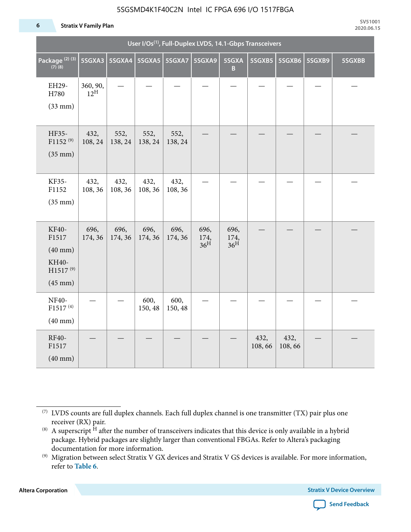#### **6 Stratix V Family Plan**

| User I/Os <sup>(1)</sup> , Full-Duplex LVDS, 14.1-Gbps Transceivers             |                             |                 |                 |                 |                                 |                                 |                |                |        |        |
|---------------------------------------------------------------------------------|-----------------------------|-----------------|-----------------|-----------------|---------------------------------|---------------------------------|----------------|----------------|--------|--------|
| Package <sup>(2)(3)</sup><br>$(7)$ (8)                                          | 5SGXA3                      |                 | 5SGXA4 5SGXA5   | 5SGXA7          | 5SGXA9                          | 5SGXA<br>B                      | 5SGXB5         | 5SGXB6         | 5SGXB9 | 5SGXBB |
| EH29-<br>H780<br>$(33$ mm $)$                                                   | 360, 90,<br>$12^{\text{H}}$ |                 |                 |                 |                                 |                                 |                |                |        |        |
| HF35-<br>$F1152^{(9)}$<br>$(35$ mm $)$                                          | 432,<br>108, 24             | 552,<br>138, 24 | 552,<br>138, 24 | 552,<br>138, 24 |                                 |                                 |                |                |        |        |
| KF35-<br>F1152<br>$(35$ mm $)$                                                  | 432,<br>108, 36             | 432,<br>108, 36 | 432,<br>108, 36 | 432,<br>108, 36 |                                 |                                 |                |                |        |        |
| KF40-<br>F1517<br>$(40$ mm $)$<br>KH40-<br>H1517 <sup>(9)</sup><br>$(45$ mm $)$ | 696,<br>174, 36             | 696,<br>174, 36 | 696,<br>174, 36 | 696,<br>174, 36 | 696,<br>174,<br>36 <sup>H</sup> | 696,<br>174,<br>36 <sup>H</sup> |                |                |        |        |
| <b>NF40-</b><br>$F1517^{(4)}$<br>$(40$ mm $)$                                   |                             |                 | 600,<br>150, 48 | 600,<br>150, 48 |                                 |                                 |                |                |        |        |
| RF40-<br>F1517<br>$(40$ mm $)$                                                  |                             |                 |                 |                 |                                 |                                 | 432,<br>108,66 | 432,<br>108,66 |        |        |

**Altera Corporation** 



<sup>(7)</sup> LVDS counts are full duplex channels. Each full duplex channel is one transmitter (TX) pair plus one receiver (RX) pair.

<sup>(8)</sup> A superscript  $H$  after the number of transceivers indicates that this device is only available in a hybrid package. Hybrid packages are slightly larger than conventional FBGAs. Refer to Altera's packaging documentation for more information.

<sup>(9)</sup> Migration between select Stratix V GX devices and Stratix V GS devices is available. For more information, refer to **Table 6**.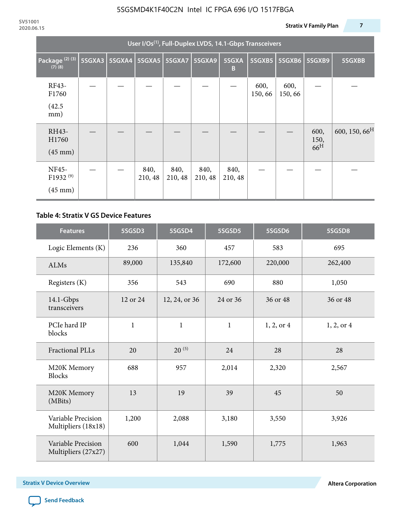| User I/Os <sup>(1)</sup> , Full-Duplex LVDS, 14.1-Gbps Transceivers |        |  |                          |                 |                 |                 |                |                |                                 |                           |
|---------------------------------------------------------------------|--------|--|--------------------------|-----------------|-----------------|-----------------|----------------|----------------|---------------------------------|---------------------------|
| Package <sup>(2)(3)</sup><br>$(7)$ $(8)$                            | 5SGXA3 |  | 5SGXA4   5SGXA5   5SGXA7 |                 | <b>5SGXA9</b>   | 5SGXA<br>B      | 5SGXB5         | 5SGXB6         | 5SGXB9                          | 5SGXBB                    |
| RF43-<br>F1760<br>(42.5)<br>mm)                                     |        |  |                          |                 |                 |                 | 600,<br>150,66 | 600,<br>150,66 |                                 |                           |
| RH43-<br>H1760<br>$(45 \text{ mm})$                                 |        |  |                          |                 |                 |                 |                |                | 600,<br>150,<br>66 <sup>H</sup> | 600, 150, 66 <sup>H</sup> |
| <b>NF45-</b><br>F1932 <sup>(9)</sup><br>$(45 \text{ mm})$           |        |  | 840,<br>210, 48          | 840,<br>210, 48 | 840,<br>210, 48 | 840,<br>210, 48 |                |                |                                 |                           |

#### **Table 4: Stratix V GS Device Features**

| <b>Features</b>                           | 5SGSD3      | 5SGSD4        | 5SGSD5       | 5SGSD6     | 5SGSD8     |
|-------------------------------------------|-------------|---------------|--------------|------------|------------|
| Logic Elements (K)                        | 236         | 360           | 457          | 583        | 695        |
| <b>ALMs</b>                               | 89,000      | 135,840       | 172,600      | 220,000    | 262,400    |
| Registers (K)                             | 356         | 543           | 690          | 880        | 1,050      |
| $14.1$ -Gbps<br>transceivers              | 12 or 24    | 12, 24, or 36 | 24 or 36     | 36 or 48   | 36 or 48   |
| PCIe hard IP<br>blocks                    | $\mathbf 1$ | $\mathbf{1}$  | $\mathbf{1}$ | 1, 2, or 4 | 1, 2, or 4 |
| Fractional PLLs                           | 20          | $20^{(5)}$    | 24           | 28         | 28         |
| M20K Memory<br><b>Blocks</b>              | 688         | 957           | 2,014        | 2,320      | 2,567      |
| M20K Memory<br>(MBits)                    | 13          | 19            | 39           | 45         | 50         |
| Variable Precision<br>Multipliers (18x18) | 1,200       | 2,088         | 3,180        | 3,550      | 3,926      |
| Variable Precision<br>Multipliers (27x27) | 600         | 1,044         | 1,590        | 1,775      | 1,963      |

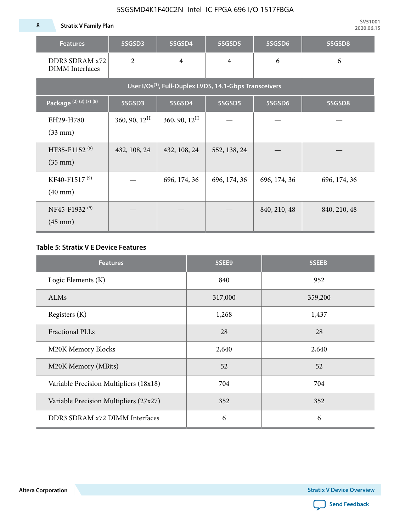**8 Stratix V Family Plan**

| <b>Features</b>                                                     | 5SGSD3                   | 5SGSD4          | 5SGSD5         | 5SGSD6       | 5SGSD8       |  |  |  |  |  |  |  |
|---------------------------------------------------------------------|--------------------------|-----------------|----------------|--------------|--------------|--|--|--|--|--|--|--|
| DDR3 SDRAM x72<br><b>DIMM</b> Interfaces                            | $\overline{2}$           | $\overline{4}$  | $\overline{4}$ | 6            | 6            |  |  |  |  |  |  |  |
| User I/Os <sup>(1)</sup> , Full-Duplex LVDS, 14.1-Gbps Transceivers |                          |                 |                |              |              |  |  |  |  |  |  |  |
| Package (2) (3) (7) (8)                                             | 5SGSD3                   | 5SGSD4          | 5SGSD5         | 5SGSD6       | 5SGSD8       |  |  |  |  |  |  |  |
| EH29-H780<br>$(33$ mm $)$                                           | $360, 90, 12^{\text{H}}$ | 360, 90, $12^H$ |                |              |              |  |  |  |  |  |  |  |
| HF35-F1152 <sup>(9)</sup><br>$(35 \text{ mm})$                      | 432, 108, 24             | 432, 108, 24    | 552, 138, 24   |              |              |  |  |  |  |  |  |  |
| KF40-F1517 <sup>(9)</sup><br>$(40 \text{ mm})$                      | 696, 174, 36             |                 | 696, 174, 36   | 696, 174, 36 | 696, 174, 36 |  |  |  |  |  |  |  |
| NF45-F1932 <sup>(9)</sup><br>$(45 \text{ mm})$                      |                          |                 |                | 840, 210, 48 | 840, 210, 48 |  |  |  |  |  |  |  |

#### **Table 5: Stratix V E Device Features**

| <b>Features</b>                        | 5SEE9   | 5SEEB   |
|----------------------------------------|---------|---------|
| Logic Elements (K)                     | 840     | 952     |
| ALMs                                   | 317,000 | 359,200 |
| Registers (K)                          | 1,268   | 1,437   |
| <b>Fractional PLLs</b>                 | 28      | 28      |
| M20K Memory Blocks                     | 2,640   | 2,640   |
| M20K Memory (MBits)                    | 52      | 52      |
| Variable Precision Multipliers (18x18) | 704     | 704     |
| Variable Precision Multipliers (27x27) | 352     | 352     |
| DDR3 SDRAM x72 DIMM Interfaces         | 6       | 6       |

**Altera Corporation** 

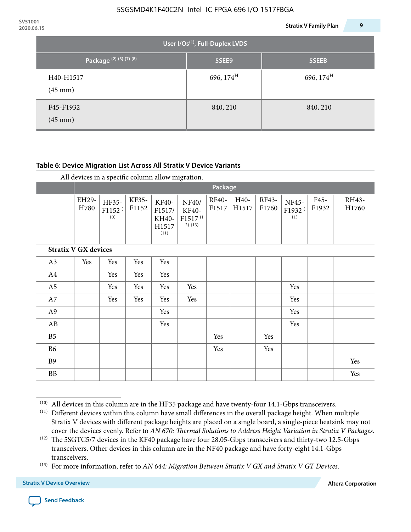| 2020.06.15 |                                |                                             | 9<br><b>Stratix V Family Plan</b> |
|------------|--------------------------------|---------------------------------------------|-----------------------------------|
|            |                                | User I/Os <sup>(1)</sup> , Full-Duplex LVDS |                                   |
|            | Package (2) (3) (7) (8)        | 5SEE9                                       | 5SEEB                             |
|            | H40-H1517<br>$(45 \text{ mm})$ | 696, $174^H$                                | 696, $174^{\text{H}}$             |
|            | F45-F1932<br>$(45 \text{ mm})$ | 840, 210                                    | 840, 210                          |

#### **Table 6: Device Migration List Across All Stratix V Device Variants**

|                             |               | Package                            |                |                                           |                                                    |                |               |                |                                    |               |                |
|-----------------------------|---------------|------------------------------------|----------------|-------------------------------------------|----------------------------------------------------|----------------|---------------|----------------|------------------------------------|---------------|----------------|
|                             | EH29-<br>H780 | HF35-<br>F1152 <sup>(</sup><br>10) | KF35-<br>F1152 | KF40-<br>F1517/<br>KH40-<br>H1517<br>(11) | NF40/<br>KF40-<br>F1517 <sup>(1</sup><br>$2)$ (13) | RF40-<br>F1517 | H40-<br>H1517 | RF43-<br>F1760 | NF45-<br>F1932 <sup>(</sup><br>11) | F45-<br>F1932 | RH43-<br>H1760 |
| <b>Stratix V GX devices</b> |               |                                    |                |                                           |                                                    |                |               |                |                                    |               |                |
| A3                          | Yes           | Yes                                | Yes            | Yes                                       |                                                    |                |               |                |                                    |               |                |
| A4                          |               | Yes                                | Yes            | Yes                                       |                                                    |                |               |                |                                    |               |                |
| A <sub>5</sub>              |               | Yes                                | Yes            | Yes                                       | Yes                                                |                |               |                | Yes                                |               |                |
| A7                          |               | Yes                                | Yes            | Yes                                       | Yes                                                |                |               |                | Yes                                |               |                |
| A9                          |               |                                    |                | Yes                                       |                                                    |                |               |                | Yes                                |               |                |
| AB                          |               |                                    |                | Yes                                       |                                                    |                |               |                | Yes                                |               |                |
| B <sub>5</sub>              |               |                                    |                |                                           |                                                    | Yes            |               | Yes            |                                    |               |                |
| <b>B6</b>                   |               |                                    |                |                                           |                                                    | Yes            |               | Yes            |                                    |               |                |
| <b>B9</b>                   |               |                                    |                |                                           |                                                    |                |               |                |                                    |               | Yes            |
| <b>BB</b>                   |               |                                    |                |                                           |                                                    |                |               |                |                                    |               | Yes            |

 $(10)$  All devices in this column are in the HF35 package and have twenty-four 14.1-Gbps transceivers.

<sup>(11)</sup> Different devices within this column have small differences in the overall package height. When multiple Stratix V devices with different package heights are placed on a single board, a single-piece heatsink may not cover the devices evenly. Refer to *AN 670: Thermal Solutions to Address Height Variation in Stratix V Packages*.

<sup>(12)</sup> The 5SGTC5/7 devices in the KF40 package have four 28.05-Gbps transceivers and thirty-two 12.5-Gbps transceivers. Other devices in this column are in the NF40 package and have forty-eight 14.1-Gbps transceivers.

<sup>(13)</sup> For more information, refer to *AN 644: Migration Between Stratix V GX and Stratix V GT Devices*.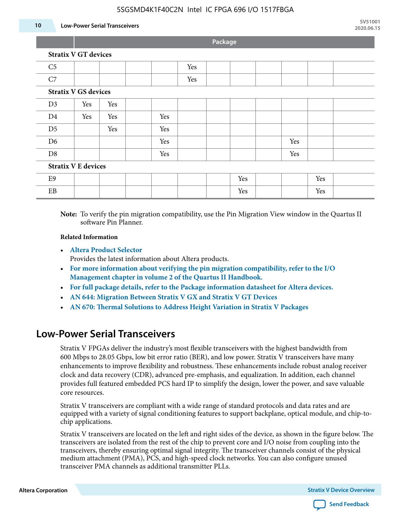#### **10 Low-Power Serial Transceivers**

**Package**

| <b>Stratix V GT devices</b> |  |  |  |  |  |  |
|-----------------------------|--|--|--|--|--|--|
|                             |  |  |  |  |  |  |

| C <sub>5</sub>             |                             |     |  |     | Yes |  |     |  |     |     |  |
|----------------------------|-----------------------------|-----|--|-----|-----|--|-----|--|-----|-----|--|
| C7                         |                             |     |  |     | Yes |  |     |  |     |     |  |
|                            | <b>Stratix V GS devices</b> |     |  |     |     |  |     |  |     |     |  |
| D <sub>3</sub>             | Yes                         | Yes |  |     |     |  |     |  |     |     |  |
| D <sub>4</sub>             | Yes                         | Yes |  | Yes |     |  |     |  |     |     |  |
| D <sub>5</sub>             |                             | Yes |  | Yes |     |  |     |  |     |     |  |
| D <sub>6</sub>             |                             |     |  | Yes |     |  |     |  | Yes |     |  |
| D <sub>8</sub>             |                             |     |  | Yes |     |  |     |  | Yes |     |  |
| <b>Stratix V E devices</b> |                             |     |  |     |     |  |     |  |     |     |  |
| E9                         |                             |     |  |     |     |  | Yes |  |     | Yes |  |
| EB                         |                             |     |  |     |     |  | Yes |  |     | Yes |  |

**Note:** To verify the pin migration compatibility, use the Pin Migration View window in the Quartus II software Pin Planner.

#### **Related Information**

• **[Altera Product Selector](http://www.altera.com/products/selector/psg-selector.html#)**

Provides the latest information about Altera products.

- **[For more information about verifying the pin migration compatibility, refer to the I/O](http://www.altera.com/literature/hb/qts/qts_qii52013.pdf) [Management chapter in volume 2 of the Quartus II Handbook.](http://www.altera.com/literature/hb/qts/qts_qii52013.pdf)**
- **[For full package details, refer to the Package information datasheet for Altera devices.](http://www.altera.com/support/devices/packaging/specifications/pkg-pin/spe-index.jsp)**
- **[AN 644: Migration Between Stratix V GX and Stratix V GT Devices](http://www.altera.com/literature/an/an644.pdf)**
- **[AN 670: Thermal Solutions to Address Height Variation in Stratix V Packages](http://www.altera.com/literature/an/an670.pdf)**

### **Low-Power Serial Transceivers**

Stratix V FPGAs deliver the industry's most flexible transceivers with the highest bandwidth from 600 Mbps to 28.05 Gbps, low bit error ratio (BER), and low power. Stratix V transceivers have many enhancements to improve flexibility and robustness. These enhancements include robust analog receiver clock and data recovery (CDR), advanced pre-emphasis, and equalization. In addition, each channel provides full featured embedded PCS hard IP to simplify the design, lower the power, and save valuable core resources.

Stratix V transceivers are compliant with a wide range of standard protocols and data rates and are equipped with a variety of signal conditioning features to support backplane, optical module, and chip-tochip applications.

Stratix V transceivers are located on the left and right sides of the device, as shown in the figure below. The transceivers are isolated from the rest of the chip to prevent core and I/O noise from coupling into the transceivers, thereby ensuring optimal signal integrity. The transceiver channels consist of the physical medium attachment (PMA), PCS, and high-speed clock networks. You can also configure unused transceiver PMA channels as additional transmitter PLLs.

**Altera Corporation Stratix V Device Overview**

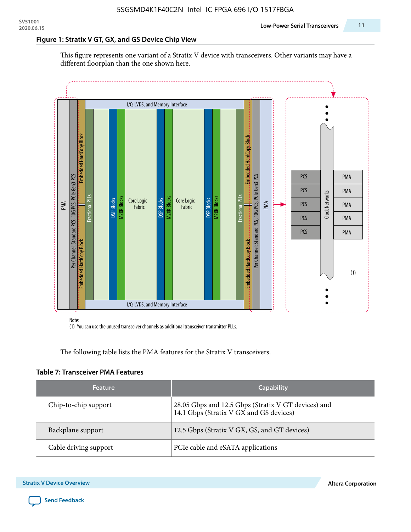#### **Figure 1: Stratix V GT, GX, and GS Device Chip View**

This figure represents one variant of a Stratix V device with transceivers. Other variants may have a different floorplan than the one shown here.



(1) You can use the unused transceiver channels as additional transceiver transmitter PLLs.

The following table lists the PMA features for the Stratix V transceivers.

#### **Table 7: Transceiver PMA Features**

| <b>Feature</b>        | <b>Capability</b>                                                                              |
|-----------------------|------------------------------------------------------------------------------------------------|
| Chip-to-chip support  | 28.05 Gbps and 12.5 Gbps (Stratix V GT devices) and<br>14.1 Gbps (Stratix V GX and GS devices) |
| Backplane support     | 12.5 Gbps (Stratix V GX, GS, and GT devices)                                                   |
| Cable driving support | PCIe cable and eSATA applications                                                              |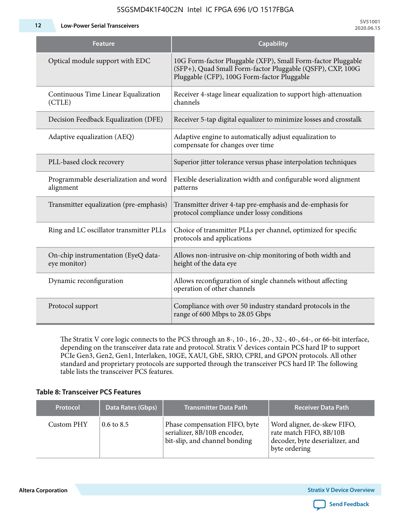**12 Low-Power Serial Transceivers**

| Feature                                             | <b>Capability</b>                                                                                                                                                         |
|-----------------------------------------------------|---------------------------------------------------------------------------------------------------------------------------------------------------------------------------|
| Optical module support with EDC                     | 10G Form-factor Pluggable (XFP), Small Form-factor Pluggable<br>(SFP+), Quad Small Form-factor Pluggable (QSFP), CXP, 100G<br>Pluggable (CFP), 100G Form-factor Pluggable |
| Continuous Time Linear Equalization<br>(CTLE)       | Receiver 4-stage linear equalization to support high-attenuation<br>channels                                                                                              |
| Decision Feedback Equalization (DFE)                | Receiver 5-tap digital equalizer to minimize losses and crosstalk                                                                                                         |
| Adaptive equalization (AEQ)                         | Adaptive engine to automatically adjust equalization to<br>compensate for changes over time                                                                               |
| PLL-based clock recovery                            | Superior jitter tolerance versus phase interpolation techniques                                                                                                           |
| Programmable deserialization and word<br>alignment  | Flexible deserialization width and configurable word alignment<br>patterns                                                                                                |
| Transmitter equalization (pre-emphasis)             | Transmitter driver 4-tap pre-emphasis and de-emphasis for<br>protocol compliance under lossy conditions                                                                   |
| Ring and LC oscillator transmitter PLLs             | Choice of transmitter PLLs per channel, optimized for specific<br>protocols and applications                                                                              |
| On-chip instrumentation (EyeQ data-<br>eye monitor) | Allows non-intrusive on-chip monitoring of both width and<br>height of the data eye                                                                                       |
| Dynamic reconfiguration                             | Allows reconfiguration of single channels without affecting<br>operation of other channels                                                                                |
| Protocol support                                    | Compliance with over 50 industry standard protocols in the<br>range of 600 Mbps to 28.05 Gbps                                                                             |

The Stratix V core logic connects to the PCS through an 8-, 10-, 16-, 20-, 32-, 40-, 64-, or 66-bit interface, depending on the transceiver data rate and protocol. Stratix V devices contain PCS hard IP to support PCIe Gen3, Gen2, Gen1, Interlaken, 10GE, XAUI, GbE, SRIO, CPRI, and GPON protocols. All other standard and proprietary protocols are supported through the transceiver PCS hard IP. The following table lists the transceiver PCS features.

#### **Table 8: Transceiver PCS Features**

| <b>Protocol</b> | Data Rates (Gbps)     | <b>Transmitter Data Path</b>                                                                  | <b>Receiver Data Path</b>                                                                                  |
|-----------------|-----------------------|-----------------------------------------------------------------------------------------------|------------------------------------------------------------------------------------------------------------|
| Custom PHY      | $0.6 \text{ to } 8.5$ | Phase compensation FIFO, byte<br>serializer, 8B/10B encoder,<br>bit-slip, and channel bonding | Word aligner, de-skew FIFO,<br>rate match FIFO, 8B/10B<br>decoder, byte deserializer, and<br>byte ordering |

**Altera Corporation** 

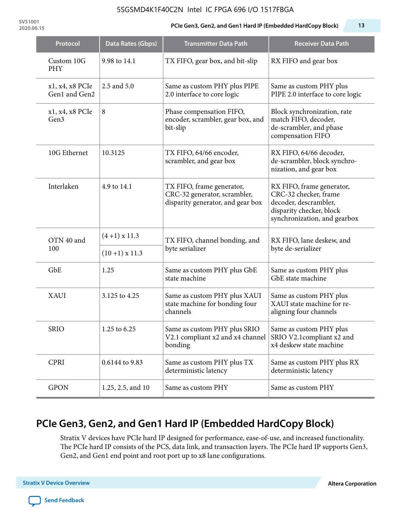**SV51001**

#### **2020.06.15 PCIe Gen3, Gen2, and Gen1 Hard IP (Embedded HardCopy Block) 13**

| Protocol                         | Data Rates (Gbps)    | <b>Transmitter Data Path</b>                                                                   | <b>Receiver Data Path</b>                                                                                                               |  |
|----------------------------------|----------------------|------------------------------------------------------------------------------------------------|-----------------------------------------------------------------------------------------------------------------------------------------|--|
| Custom 10G<br><b>PHY</b>         | 9.98 to 14.1         | TX FIFO, gear box, and bit-slip                                                                | RX FIFO and gear box                                                                                                                    |  |
| x1, x4, x8 PCIe<br>Gen1 and Gen2 | 2.5 and 5.0          | Same as custom PHY plus PIPE<br>2.0 interface to core logic                                    | Same as custom PHY plus<br>PIPE 2.0 interface to core logic                                                                             |  |
| x1, x4, x8 PCIe<br>Gen3          | 8                    | Phase compensation FIFO,<br>encoder, scrambler, gear box, and<br>bit-slip                      | Block synchronization, rate<br>match FIFO, decoder,<br>de-scrambler, and phase<br>compensation FIFO                                     |  |
| 10G Ethernet                     | 10.3125              | TX FIFO, 64/66 encoder,<br>scrambler, and gear box                                             | RX FIFO, 64/66 decoder,<br>de-scrambler, block synchro-<br>nization, and gear box                                                       |  |
| Interlaken                       | 4.9 to 14.1          | TX FIFO, frame generator,<br>CRC-32 generator, scrambler,<br>disparity generator, and gear box | RX FIFO, frame generator,<br>CRC-32 checker, frame<br>decoder, descrambler,<br>disparity checker, block<br>synchronization, and gearbox |  |
| OTN 40 and                       | $(4+1)$ x 11.3       | TX FIFO, channel bonding, and                                                                  | RX FIFO, lane deskew, and                                                                                                               |  |
| 100                              | $(10+1) \times 11.3$ | byte serializer                                                                                | byte de-serializer                                                                                                                      |  |
| GbE                              | 1.25                 | Same as custom PHY plus GbE<br>state machine                                                   | Same as custom PHY plus<br>GbE state machine                                                                                            |  |
| XAUI                             | 3.125 to 4.25        | Same as custom PHY plus XAUI<br>state machine for bonding four<br>channels                     | Same as custom PHY plus<br>XAUI state machine for re-<br>aligning four channels                                                         |  |
| <b>SRIO</b>                      | 1.25 to 6.25         | Same as custom PHY plus SRIO<br>V2.1 compliant x2 and x4 channel<br>bonding                    | Same as custom PHY plus<br>SRIO V2.1compliant x2 and<br>x4 deskew state machine                                                         |  |
| <b>CPRI</b>                      | 0.6144 to 9.83       | Same as custom PHY plus TX<br>deterministic latency                                            | Same as custom PHY plus RX<br>deterministic latency                                                                                     |  |
| <b>GPON</b>                      | 1.25, 2.5, and 10    | Same as custom PHY                                                                             | Same as custom PHY                                                                                                                      |  |

# **PCIe Gen3, Gen2, and Gen1 Hard IP (Embedded HardCopy Block)**

Stratix V devices have PCIe hard IP designed for performance, ease-of-use, and increased functionality. The PCIe hard IP consists of the PCS, data link, and transaction layers. The PCIe hard IP supports Gen3, Gen2, and Gen1 end point and root port up to x8 lane configurations.

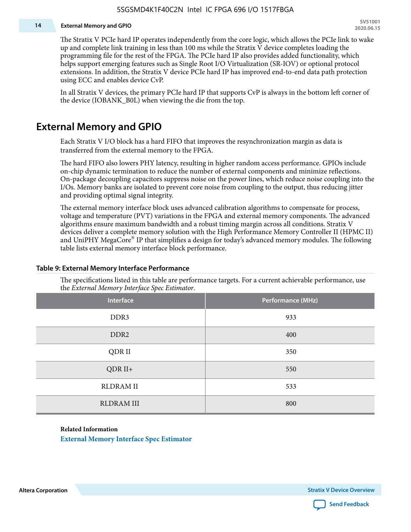#### **14 External Memory and GPIO**

The Stratix V PCIe hard IP operates independently from the core logic, which allows the PCIe link to wake up and complete link training in less than 100 ms while the Stratix V device completes loading the programming file for the rest of the FPGA. The PCIe hard IP also provides added functionality, which helps support emerging features such as Single Root I/O Virtualization (SR-IOV) or optional protocol extensions. In addition, the Stratix V device PCIe hard IP has improved end-to-end data path protection using ECC and enables device CvP.

In all Stratix V devices, the primary PCIe hard IP that supports CvP is always in the bottom left corner of the device (IOBANK\_B0L) when viewing the die from the top.

### **External Memory and GPIO**

Each Stratix V I/O block has a hard FIFO that improves the resynchronization margin as data is transferred from the external memory to the FPGA.

The hard FIFO also lowers PHY latency, resulting in higher random access performance. GPIOs include on-chip dynamic termination to reduce the number of external components and minimize reflections. On-package decoupling capacitors suppress noise on the power lines, which reduce noise coupling into the I/Os. Memory banks are isolated to prevent core noise from coupling to the output, thus reducing jitter and providing optimal signal integrity.

The external memory interface block uses advanced calibration algorithms to compensate for process, voltage and temperature (PVT) variations in the FPGA and external memory components. The advanced algorithms ensure maximum bandwidth and a robust timing margin across all conditions. Stratix V devices deliver a complete memory solution with the High Performance Memory Controller II (HPMC II) and UniPHY MegaCore® IP that simplifies a design for today's advanced memory modules. The following table lists external memory interface block performance.

| Interface         | Performance (MHz) |
|-------------------|-------------------|
| DDR3              | 933               |
| DDR <sub>2</sub>  | 400               |
| QDR II            | 350               |
| $QDR II+$         | 550               |
| <b>RLDRAM II</b>  | 533               |
| <b>RLDRAM III</b> | 800               |

#### **Table 9: External Memory Interface Performance**

The specifications listed in this table are performance targets. For a current achievable performance, use the *External Memory Interface Spec Estimator*.

#### **Related Information**

**[External Memory Interface Spec Estimator](http://www.altera.com/technology/memory/estimator/mem-emif-index.html)**

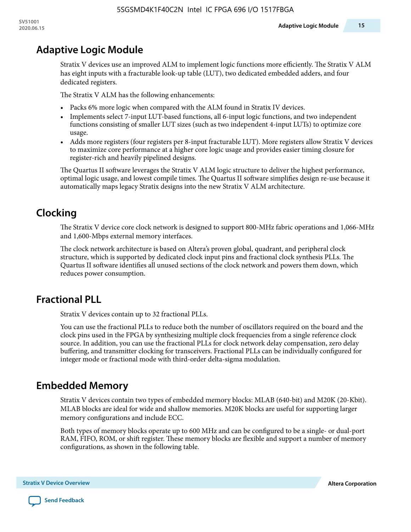# **Adaptive Logic Module**

Stratix V devices use an improved ALM to implement logic functions more efficiently. The Stratix V ALM has eight inputs with a fracturable look-up table (LUT), two dedicated embedded adders, and four dedicated registers.

The Stratix V ALM has the following enhancements:

- Packs 6% more logic when compared with the ALM found in Stratix IV devices.
- Implements select 7-input LUT-based functions, all 6-input logic functions, and two independent functions consisting of smaller LUT sizes (such as two independent 4-input LUTs) to optimize core usage.
- Adds more registers (four registers per 8-input fracturable LUT). More registers allow Stratix V devices to maximize core performance at a higher core logic usage and provides easier timing closure for register-rich and heavily pipelined designs.

The Quartus II software leverages the Stratix V ALM logic structure to deliver the highest performance, optimal logic usage, and lowest compile times. The Quartus II software simplifies design re-use because it automatically maps legacy Stratix designs into the new Stratix V ALM architecture.

# **Clocking**

The Stratix V device core clock network is designed to support 800-MHz fabric operations and 1,066-MHz and 1,600-Mbps external memory interfaces.

The clock network architecture is based on Altera's proven global, quadrant, and peripheral clock structure, which is supported by dedicated clock input pins and fractional clock synthesis PLLs. The Quartus II software identifies all unused sections of the clock network and powers them down, which reduces power consumption.

# **Fractional PLL**

Stratix V devices contain up to 32 fractional PLLs.

You can use the fractional PLLs to reduce both the number of oscillators required on the board and the clock pins used in the FPGA by synthesizing multiple clock frequencies from a single reference clock source. In addition, you can use the fractional PLLs for clock network delay compensation, zero delay buffering, and transmitter clocking for transceivers. Fractional PLLs can be individually configured for integer mode or fractional mode with third-order delta-sigma modulation.

# **Embedded Memory**

Stratix V devices contain two types of embedded memory blocks: MLAB (640-bit) and M20K (20-Kbit). MLAB blocks are ideal for wide and shallow memories. M20K blocks are useful for supporting larger memory configurations and include ECC.

Both types of memory blocks operate up to 600 MHz and can be configured to be a single- or dual-port RAM, FIFO, ROM, or shift register. These memory blocks are flexible and support a number of memory configurations, as shown in the following table.

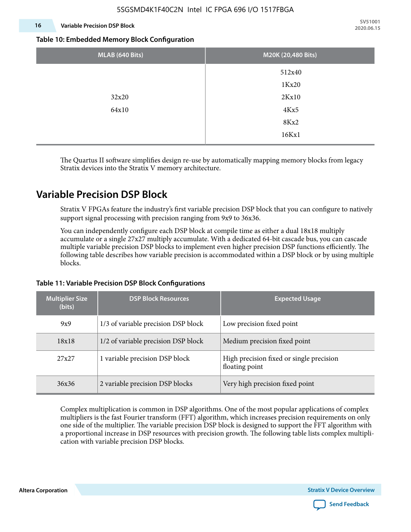#### **16 Variable Precision DSP Block**

**SV51001 2020.06.15**

#### **Table 10: Embedded Memory Block Configuration**

| MLAB (640 Bits) | M20K (20,480 Bits) |  |  |
|-----------------|--------------------|--|--|
|                 | 512x40             |  |  |
|                 | 1Kx20              |  |  |
| 32x20           | 2Kx10              |  |  |
| 64x10           | 4Kx5               |  |  |
|                 | 8Kx2               |  |  |
|                 | 16Kx1              |  |  |

The Quartus II software simplifies design re-use by automatically mapping memory blocks from legacy Stratix devices into the Stratix V memory architecture.

### **Variable Precision DSP Block**

Stratix V FPGAs feature the industry's first variable precision DSP block that you can configure to natively support signal processing with precision ranging from 9x9 to 36x36.

You can independently configure each DSP block at compile time as either a dual 18x18 multiply accumulate or a single 27x27 multiply accumulate. With a dedicated 64-bit cascade bus, you can cascade multiple variable precision DSP blocks to implement even higher precision DSP functions efficiently. The following table describes how variable precision is accommodated within a DSP block or by using multiple blocks.

| <b>Multiplier Size</b><br>(bits) | <b>DSP Block Resources</b>          | <b>Expected Usage</b>                                      |
|----------------------------------|-------------------------------------|------------------------------------------------------------|
| 9x9                              | 1/3 of variable precision DSP block | Low precision fixed point                                  |
| 18x18                            | 1/2 of variable precision DSP block | Medium precision fixed point                               |
| 27x27                            | 1 variable precision DSP block      | High precision fixed or single precision<br>floating point |
| 36x36                            | 2 variable precision DSP blocks     | Very high precision fixed point                            |

#### **Table 11: Variable Precision DSP Block Configurations**

Complex multiplication is common in DSP algorithms. One of the most popular applications of complex multipliers is the fast Fourier transform (FFT) algorithm, which increases precision requirements on only one side of the multiplier. The variable precision DSP block is designed to support the FFT algorithm with a proportional increase in DSP resources with precision growth. The following table lists complex multipli‐ cation with variable precision DSP blocks.

**Altera Corporation** 

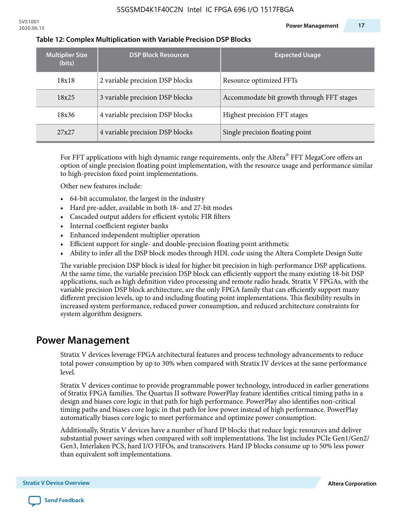| <b>Multiplier Size</b><br>(bits) | <b>DSP Block Resources</b>      | <b>Expected Usage</b>                     |
|----------------------------------|---------------------------------|-------------------------------------------|
| 18x18                            | 2 variable precision DSP blocks | Resource optimized FFTs                   |
| 18x25                            | 3 variable precision DSP blocks | Accommodate bit growth through FFT stages |
| 18x36                            | 4 variable precision DSP blocks | Highest precision FFT stages              |
| 27x27                            | 4 variable precision DSP blocks | Single precision floating point           |

#### **Table 12: Complex Multiplication with Variable Precision DSP Blocks**

For FFT applications with high dynamic range requirements, only the Altera $^\circ$  FFT MegaCore offers an option of single precision floating point implementation, with the resource usage and performance similar to high-precision fixed point implementations.

Other new features include:

- 64-bit accumulator, the largest in the industry
- Hard pre-adder, available in both 18- and 27-bit modes
- Cascaded output adders for efficient systolic FIR filters
- Internal coefficient register banks
- Enhanced independent multiplier operation
- Efficient support for single- and double-precision floating point arithmetic
- Ability to infer all the DSP block modes through HDL code using the Altera Complete Design Suite

The variable precision DSP block is ideal for higher bit precision in high-performance DSP applications. At the same time, the variable precision DSP block can efficiently support the many existing 18-bit DSP applications, such as high definition video processing and remote radio heads. Stratix V FPGAs, with the variable precision DSP block architecture, are the only FPGA family that can efficiently support many different precision levels, up to and including floating point implementations. This flexibility results in increased system performance, reduced power consumption, and reduced architecture constraints for system algorithm designers.

### **Power Management**

Stratix V devices leverage FPGA architectural features and process technology advancements to reduce total power consumption by up to 30% when compared with Stratix IV devices at the same performance level.

Stratix V devices continue to provide programmable power technology, introduced in earlier generations of Stratix FPGA families. The Quartus II software PowerPlay feature identifies critical timing paths in a design and biases core logic in that path for high performance. PowerPlay also identifies non-critical timing paths and biases core logic in that path for low power instead of high performance. PowerPlay automatically biases core logic to meet performance and optimize power consumption.

Additionally, Stratix V devices have a number of hard IP blocks that reduce logic resources and deliver substantial power savings when compared with soft implementations. The list includes PCIe Gen1/Gen2/ Gen3, Interlaken PCS, hard I/O FIFOs, and transceivers. Hard IP blocks consume up to 50% less power than equivalent soft implementations.

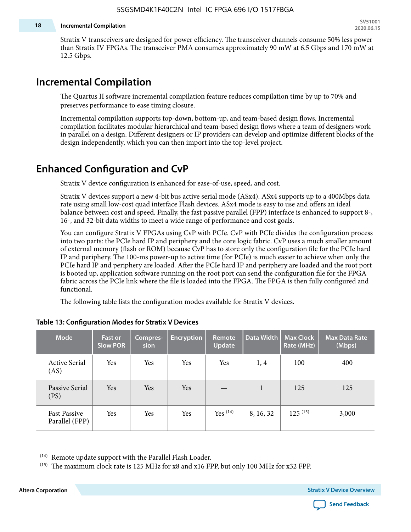#### **18 Incremental Compilation**

Stratix V transceivers are designed for power efficiency. The transceiver channels consume 50% less power than Stratix IV FPGAs. The transceiver PMA consumes approximately 90 mW at 6.5 Gbps and 170 mW at 12.5 Gbps.

### **Incremental Compilation**

The Quartus II software incremental compilation feature reduces compilation time by up to 70% and preserves performance to ease timing closure.

Incremental compilation supports top-down, bottom-up, and team-based design flows. Incremental compilation facilitates modular hierarchical and team-based design flows where a team of designers work in parallel on a design. Different designers or IP providers can develop and optimize different blocks of the design independently, which you can then import into the top-level project.

### **Enhanced Configuration and CvP**

Stratix V device configuration is enhanced for ease-of-use, speed, and cost.

Stratix V devices support a new 4-bit bus active serial mode (ASx4). ASx4 supports up to a 400Mbps data rate using small low-cost quad interface Flash devices. ASx4 mode is easy to use and offers an ideal balance between cost and speed. Finally, the fast passive parallel (FPP) interface is enhanced to support 8-, 16-, and 32-bit data widths to meet a wide range of performance and cost goals.

You can configure Stratix V FPGAs using CvP with PCIe. CvP with PCIe divides the configuration process into two parts: the PCIe hard IP and periphery and the core logic fabric. CvP uses a much smaller amount of external memory (flash or ROM) because CvP has to store only the configuration file for the PCIe hard IP and periphery. The 100-ms power-up to active time (for PCIe) is much easier to achieve when only the PCIe hard IP and periphery are loaded. After the PCIe hard IP and periphery are loaded and the root port is booted up, application software running on the root port can send the configuration file for the FPGA fabric across the PCIe link where the file is loaded into the FPGA. The FPGA is then fully configured and functional.

The following table lists the configuration modes available for Stratix V devices.

| <b>Mode</b>                           | <b>Fast or</b><br><b>Slow POR</b> | Compres-<br>sion | <b>Encryption</b> | Remote<br><b>Update</b> | Data Width | <b>Max Clock</b><br>Rate (MHz) | <b>Max Data Rate</b><br>(Mbps) |
|---------------------------------------|-----------------------------------|------------------|-------------------|-------------------------|------------|--------------------------------|--------------------------------|
| <b>Active Serial</b><br>(AS)          | Yes                               | Yes              | Yes               | Yes                     | 1, 4       | 100                            | 400                            |
| Passive Serial<br>(PS)                | Yes                               | Yes              | Yes               |                         | 1          | 125                            | 125                            |
| <b>Fast Passive</b><br>Parallel (FPP) | Yes                               | Yes              | Yes               | $Yes$ $(14)$            | 8, 16, 32  | $125^{(15)}$                   | 3,000                          |

#### **Table 13: Configuration Modes for Stratix V Devices**

**Altera Corporation Stratix V Device Overview**



<sup>(14)</sup> Remote update support with the Parallel Flash Loader.

<sup>&</sup>lt;sup>(15)</sup> The maximum clock rate is 125 MHz for x8 and x16 FPP, but only 100 MHz for x32 FPP.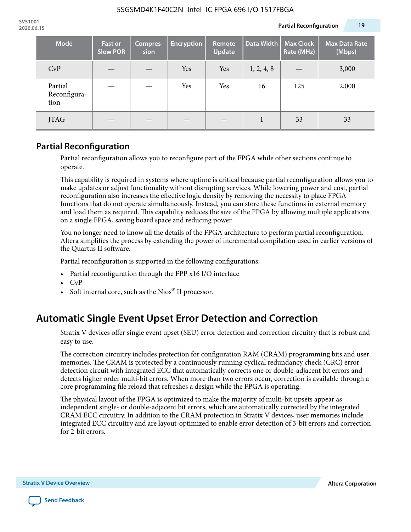| <b>Mode</b>                     | <b>Fast or</b><br><b>Slow POR</b> | Compres-<br>sion | <b>Encryption</b> | Remote<br><b>Update</b> | Data Width | <b>Max Clock</b><br>Rate (MHz) | <b>Max Data Rate</b><br>(Mbps) |
|---------------------------------|-----------------------------------|------------------|-------------------|-------------------------|------------|--------------------------------|--------------------------------|
| CvP                             |                                   |                  | Yes               | Yes                     | 1, 2, 4, 8 |                                | 3,000                          |
| Partial<br>Reconfigura-<br>tion |                                   |                  | Yes               | Yes                     | 16         | 125                            | 2,000                          |
| JTAG                            |                                   |                  |                   |                         |            | 33                             | 33                             |

### **Partial Reconfiguration**

Partial reconfiguration allows you to reconfigure part of the FPGA while other sections continue to operate.

This capability is required in systems where uptime is critical because partial reconfiguration allows you to make updates or adjust functionality without disrupting services. While lowering power and cost, partial reconfiguration also increases the effective logic density by removing the necessity to place FPGA functions that do not operate simultaneously. Instead, you can store these functions in external memory and load them as required. This capability reduces the size of the FPGA by allowing multiple applications on a single FPGA, saving board space and reducing power.

You no longer need to know all the details of the FPGA architecture to perform partial reconfiguration. Altera simplifies the process by extending the power of incremental compilation used in earlier versions of the Quartus II software.

Partial reconfiguration is supported in the following configurations:

- Partial reconfiguration through the FPP x16 I/O interface
- CvP
- Soft internal core, such as the Nios® II processor.

# **Automatic Single Event Upset Error Detection and Correction**

Stratix V devices offer single event upset (SEU) error detection and correction circuitry that is robust and easy to use.

The correction circuitry includes protection for configuration RAM (CRAM) programming bits and user memories. The CRAM is protected by a continuously running cyclical redundancy check (CRC) error detection circuit with integrated ECC that automatically corrects one or double-adjacent bit errors and detects higher order multi-bit errors. When more than two errors occur, correction is available through a core programming file reload that refreshes a design while the FPGA is operating.

The physical layout of the FPGA is optimized to make the majority of multi-bit upsets appear as independent single- or double-adjacent bit errors, which are automatically corrected by the integrated CRAM ECC circuitry. In addition to the CRAM protection in Stratix V devices, user memories include integrated ECC circuitry and are layout-optimized to enable error detection of 3-bit errors and correction for 2-bit errors.

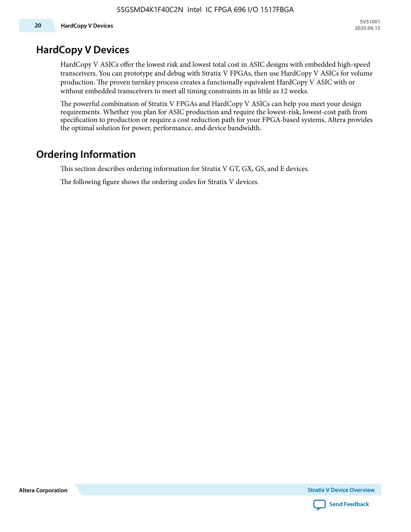### **HardCopy V Devices**

HardCopy V ASICs offer the lowest risk and lowest total cost in ASIC designs with embedded high-speed transceivers. You can prototype and debug with Stratix V FPGAs, then use HardCopy V ASICs for volume production. The proven turnkey process creates a functionally equivalent HardCopy V ASIC with or without embedded transceivers to meet all timing constraints in as little as 12 weeks.

The powerful combination of Stratix V FPGAs and HardCopy V ASICs can help you meet your design requirements. Whether you plan for ASIC production and require the lowest-risk, lowest-cost path from specification to production or require a cost reduction path for your FPGA-based systems, Altera provides the optimal solution for power, performance, and device bandwidth.

# **Ordering Information**

This section describes ordering information for Stratix V GT, GX, GS, and E devices.

The following figure shows the ordering codes for Stratix V devices.

**Altera Corporation** 

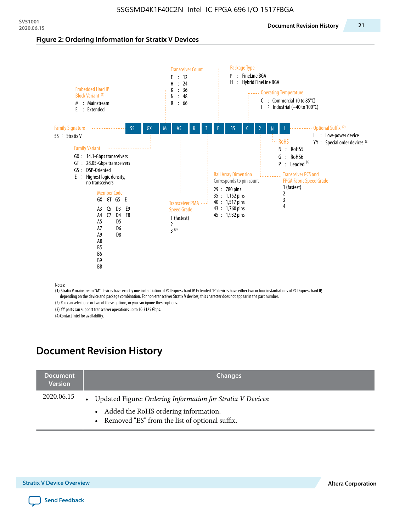#### **Figure 2: Ordering Information for Stratix V Devices**



(1) Stratix V mainstream "M" devices have exactly one instantiation of PCI Express hard IP. Extended "E" devices have either two or four instantiations of PCI Express hard IP, depending on the device and package combination. For non-transceiver Stratix V devices, this character does not appear in the part number.

(2) You can select one or two of these options, or you can ignore these options.

(3) YY parts can support transceiver operations up to 10.3125 Gbps.

(4) Contact Intel for availability.

# **Document Revision History**

| <b>Document</b><br><b>Version</b> | <b>Changes</b>                                                                                                                                            |
|-----------------------------------|-----------------------------------------------------------------------------------------------------------------------------------------------------------|
| 2020.06.15                        | Updated Figure: Ordering Information for Stratix V Devices:<br>• Added the RoHS ordering information.<br>• Removed "ES" from the list of optional suffix. |

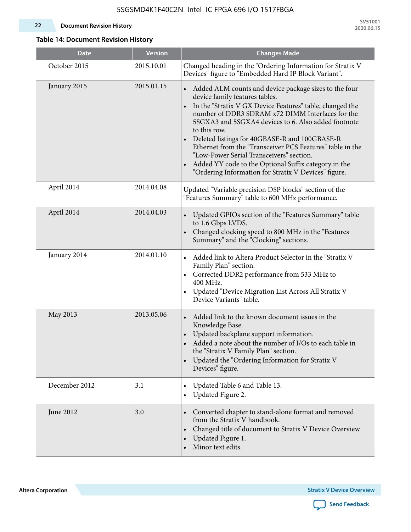#### **22 Document Revision History**

**SV51001 2020.06.15**

#### **Table 14: Document Revision History**

| <b>Date</b>   | <b>Version</b> | <b>Changes Made</b>                                                                                                                                                                                                                                                                                                                                                                                                                                                                                                                                                                             |
|---------------|----------------|-------------------------------------------------------------------------------------------------------------------------------------------------------------------------------------------------------------------------------------------------------------------------------------------------------------------------------------------------------------------------------------------------------------------------------------------------------------------------------------------------------------------------------------------------------------------------------------------------|
| October 2015  | 2015.10.01     | Changed heading in the "Ordering Information for Stratix V<br>Devices" figure to "Embedded Hard IP Block Variant".                                                                                                                                                                                                                                                                                                                                                                                                                                                                              |
| January 2015  | 2015.01.15     | Added ALM counts and device package sizes to the four<br>$\bullet$<br>device family features tables.<br>In the "Stratix V GX Device Features" table, changed the<br>$\bullet$<br>number of DDR3 SDRAM x72 DIMM Interfaces for the<br>5SGXA3 and 5SGXA4 devices to 6. Also added footnote<br>to this row.<br>Deleted listings for 40GBASE-R and 100GBASE-R<br>Ethernet from the "Transceiver PCS Features" table in the<br>"Low-Power Serial Transceivers" section.<br>Added YY code to the Optional Suffix category in the<br>$\bullet$<br>"Ordering Information for Stratix V Devices" figure. |
| April 2014    | 2014.04.08     | Updated "Variable precision DSP blocks" section of the<br>"Features Summary" table to 600 MHz performance.                                                                                                                                                                                                                                                                                                                                                                                                                                                                                      |
| April 2014    | 2014.04.03     | Updated GPIOs section of the "Features Summary" table<br>$\bullet$<br>to 1.6 Gbps LVDS.<br>Changed clocking speed to 800 MHz in the "Features<br>Summary" and the "Clocking" sections.                                                                                                                                                                                                                                                                                                                                                                                                          |
| January 2014  | 2014.01.10     | Added link to Altera Product Selector in the "Stratix V<br>Family Plan" section.<br>Corrected DDR2 performance from 533 MHz to<br>$\bullet$<br>400 MHz.<br>Updated "Device Migration List Across All Stratix V<br>Device Variants" table.                                                                                                                                                                                                                                                                                                                                                       |
| May 2013      | 2013.05.06     | Added link to the known document issues in the<br>Knowledge Base.<br>Updated backplane support information.<br>Added a note about the number of I/Os to each table in<br>the "Stratix V Family Plan" section.<br>Updated the "Ordering Information for Stratix V<br>$\bullet$<br>Devices" figure.                                                                                                                                                                                                                                                                                               |
| December 2012 | 3.1            | Updated Table 6 and Table 13.<br>$\bullet$<br>Updated Figure 2.<br>$\bullet$                                                                                                                                                                                                                                                                                                                                                                                                                                                                                                                    |
| June 2012     | 3.0            | Converted chapter to stand-alone format and removed<br>$\bullet$<br>from the Stratix V handbook.<br>Changed title of document to Stratix V Device Overview<br>$\bullet$<br>Updated Figure 1.<br>$\bullet$<br>Minor text edits.                                                                                                                                                                                                                                                                                                                                                                  |

**Altera Corporation** 

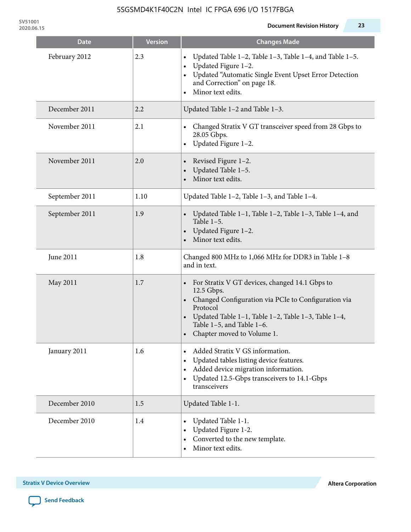| <b>Date</b>    | <b>Version</b> | <b>Changes Made</b>                                                                                                                                                                                                                                 |
|----------------|----------------|-----------------------------------------------------------------------------------------------------------------------------------------------------------------------------------------------------------------------------------------------------|
| February 2012  | 2.3            | Updated Table 1-2, Table 1-3, Table 1-4, and Table 1-5.<br>$\bullet$<br>Updated Figure 1-2.<br>Updated "Automatic Single Event Upset Error Detection<br>and Correction" on page 18.<br>Minor text edits.                                            |
| December 2011  | 2.2            | Updated Table 1-2 and Table 1-3.                                                                                                                                                                                                                    |
| November 2011  | 2.1            | Changed Stratix V GT transceiver speed from 28 Gbps to<br>28.05 Gbps.<br>Updated Figure 1-2.<br>$\bullet$                                                                                                                                           |
| November 2011  | 2.0            | Revised Figure 1-2.<br>$\bullet$<br>Updated Table 1-5.<br>Minor text edits.                                                                                                                                                                         |
| September 2011 | 1.10           | Updated Table 1-2, Table 1-3, and Table 1-4.                                                                                                                                                                                                        |
| September 2011 | 1.9            | Updated Table 1-1, Table 1-2, Table 1-3, Table 1-4, and<br>Table $1-5$ .<br>Updated Figure 1-2.<br>Minor text edits.                                                                                                                                |
| June 2011      | 1.8            | Changed 800 MHz to 1,066 MHz for DDR3 in Table 1-8<br>and in text.                                                                                                                                                                                  |
| May 2011       | 1.7            | For Stratix V GT devices, changed 14.1 Gbps to<br>12.5 Gbps.<br>• Changed Configuration via PCIe to Configuration via<br>Protocol<br>Updated Table 1-1, Table 1-2, Table 1-3, Table 1-4,<br>Table 1-5, and Table 1-6.<br>Chapter moved to Volume 1. |
| January 2011   | 1.6            | Added Stratix V GS information.<br>Updated tables listing device features.<br>Added device migration information.<br>$\bullet$<br>Updated 12.5-Gbps transceivers to 14.1-Gbps<br>$\bullet$<br>transceivers                                          |
| December 2010  | 1.5            | Updated Table 1-1.                                                                                                                                                                                                                                  |
| December 2010  | 1.4            | Updated Table 1-1.<br>Updated Figure 1-2.<br>Converted to the new template.<br>$\bullet$<br>Minor text edits.                                                                                                                                       |

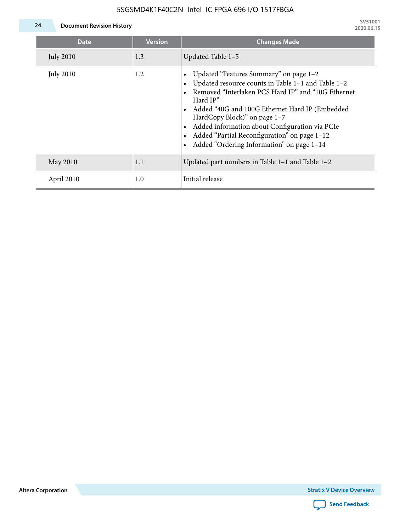

**24 Document Revision History**

| <b>Date</b>      | <b>Version</b> | <b>Changes Made</b>                                                                                                                                                                                                                                                                                                                                                                             |
|------------------|----------------|-------------------------------------------------------------------------------------------------------------------------------------------------------------------------------------------------------------------------------------------------------------------------------------------------------------------------------------------------------------------------------------------------|
| <b>July 2010</b> | 1.3            | Updated Table 1-5                                                                                                                                                                                                                                                                                                                                                                               |
| <b>July 2010</b> | 1.2            | Updated "Features Summary" on page 1-2<br>Updated resource counts in Table 1-1 and Table 1-2<br>Removed "Interlaken PCS Hard IP" and "10G Ethernet<br>Hard IP"<br>Added "40G and 100G Ethernet Hard IP (Embedded<br>HardCopy Block)" on page 1-7<br>Added information about Configuration via PCIe<br>Added "Partial Reconfiguration" on page 1-12<br>Added "Ordering Information" on page 1-14 |
| May 2010         | 1.1            | Updated part numbers in Table $1-1$ and Table $1-2$                                                                                                                                                                                                                                                                                                                                             |
| April 2010       | 1.0            | Initial release                                                                                                                                                                                                                                                                                                                                                                                 |

**Altera Corporation**